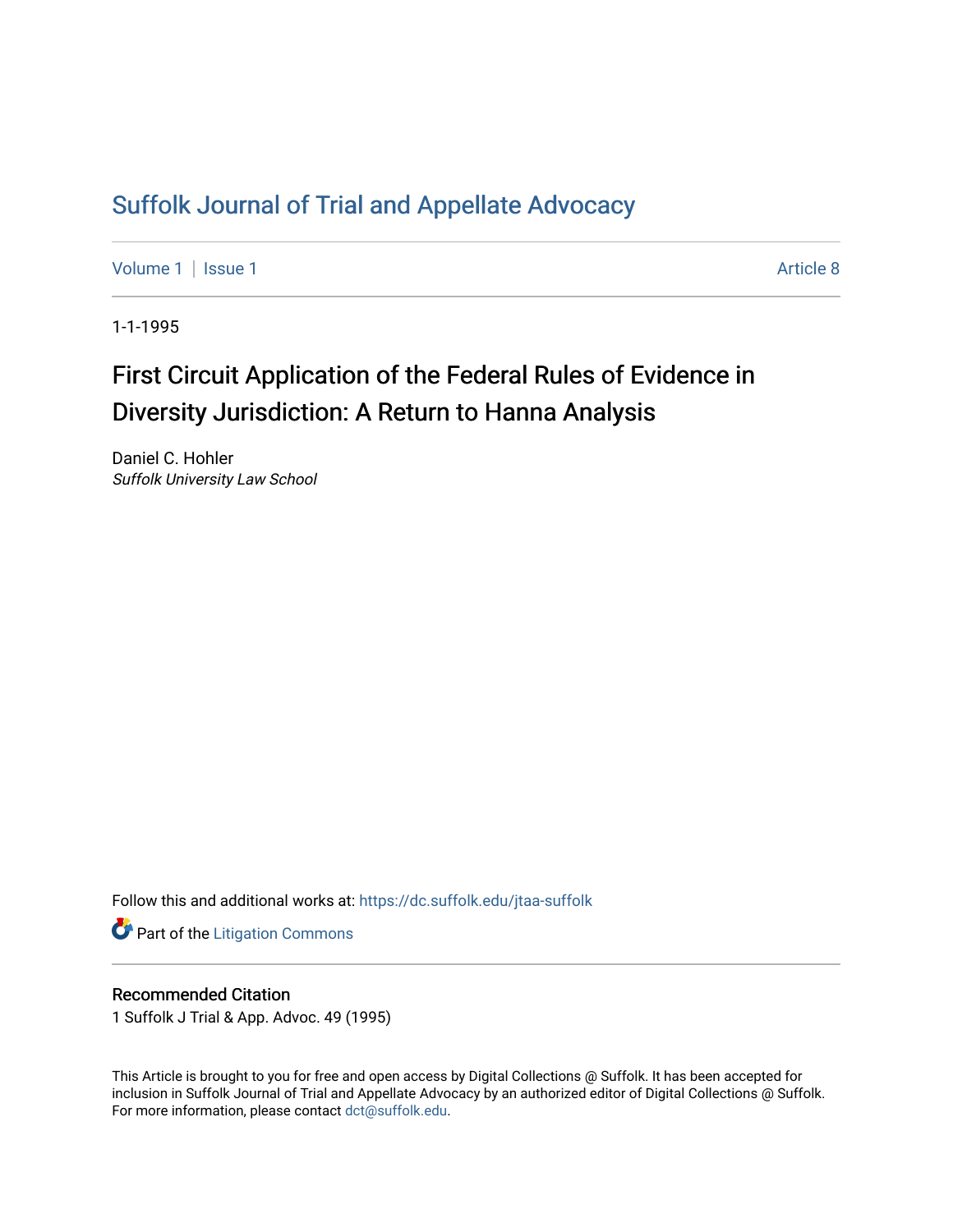## [Suffolk Journal of Trial and Appellate Advocacy](https://dc.suffolk.edu/jtaa-suffolk)

[Volume 1](https://dc.suffolk.edu/jtaa-suffolk/vol1) | [Issue 1](https://dc.suffolk.edu/jtaa-suffolk/vol1/iss1) Article 8

1-1-1995

# First Circuit Application of the Federal Rules of Evidence in Diversity Jurisdiction: A Return to Hanna Analysis

Daniel C. Hohler Suffolk University Law School

Follow this and additional works at: [https://dc.suffolk.edu/jtaa-suffolk](https://dc.suffolk.edu/jtaa-suffolk?utm_source=dc.suffolk.edu%2Fjtaa-suffolk%2Fvol1%2Fiss1%2F8&utm_medium=PDF&utm_campaign=PDFCoverPages) 

**Part of the [Litigation Commons](https://network.bepress.com/hgg/discipline/910?utm_source=dc.suffolk.edu%2Fjtaa-suffolk%2Fvol1%2Fiss1%2F8&utm_medium=PDF&utm_campaign=PDFCoverPages)** 

#### Recommended Citation

1 Suffolk J Trial & App. Advoc. 49 (1995)

This Article is brought to you for free and open access by Digital Collections @ Suffolk. It has been accepted for inclusion in Suffolk Journal of Trial and Appellate Advocacy by an authorized editor of Digital Collections @ Suffolk. For more information, please contact [dct@suffolk.edu](mailto:dct@suffolk.edu).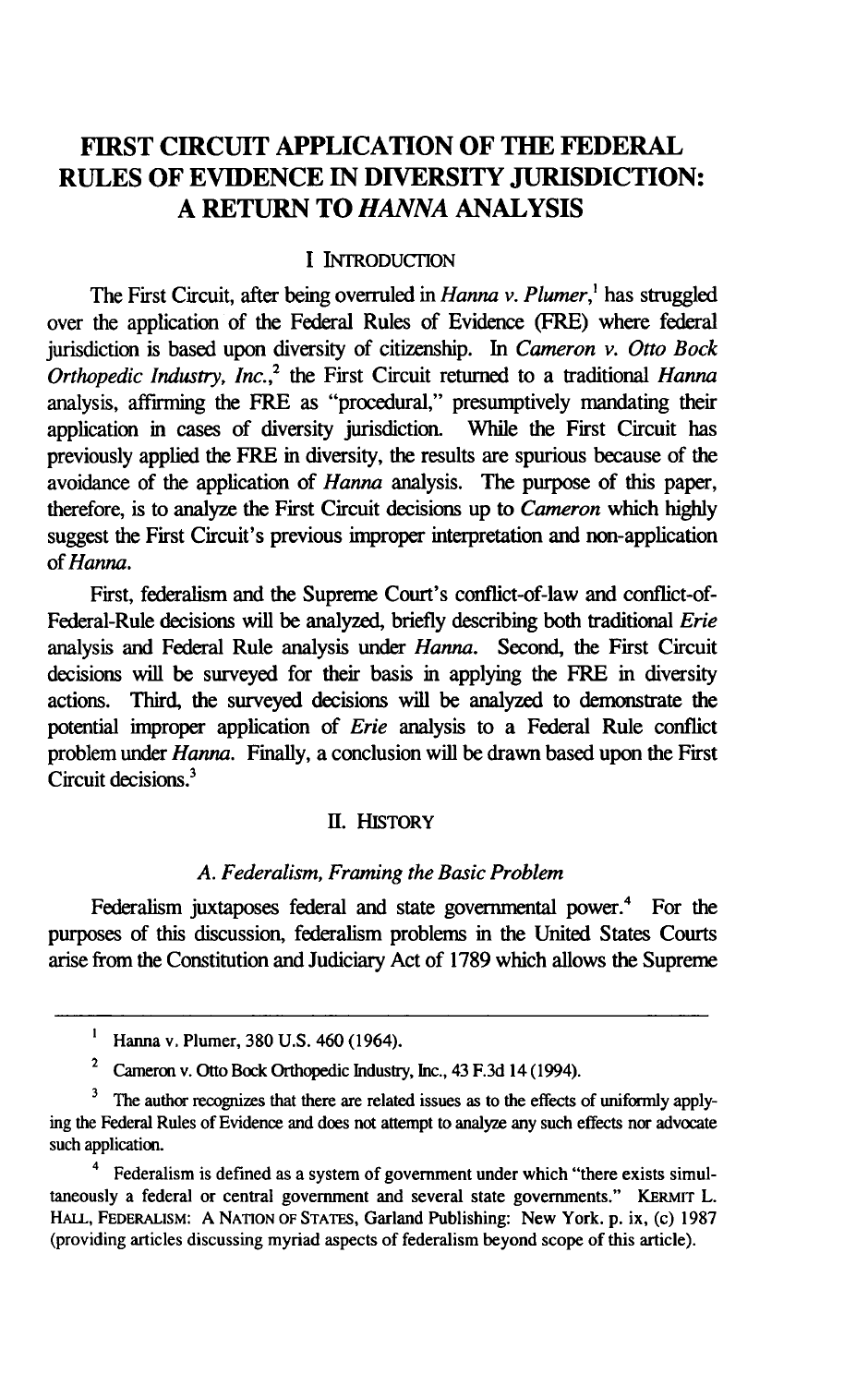### **FIRST CIRCUIT APPLICATION OF THE FEDERAL RULES OF EVIDENCE IN DIVERSITY JURISDICTION: A RETURN TO** *HANNA* **ANALYSIS**

#### **I** INTRODUCTION

The First Circuit, after being overruled in *Hanna v. Plumer,'* has struggled over the application of the Federal Rules of Evidence (FRE) where federal jurisdiction is based upon diversity of citizenship. In *Cameron v. Otto Bock Orthopedic Industry, Inc.,2* the First Circuit returned to a traditional *Hanna* analysis, affirming the FRE as "procedural," presumptively mandating their application in cases of diversity jurisdiction. While the First Circuit has previously applied the FRE in diversity, the results are spurious because of the avoidance of the application of *Hanna* analysis. The purpose of this paper, therefore, is to analyze the First Circuit decisions up to *Cameron* which highly suggest the First Circuit's previous improper interpretation and non-application *of Hanna.*

First, federalism and the Supreme Court's conflict-of-law and conflict-of-Federal-Rule decisions will be analyzed, briefly describing both traditional *Erie* analysis and Federal Rule analysis under *Hanna.* Second, the First Circuit decisions will be surveyed for their basis in applying the FRE in diversity actions. Third, the surveyed decisions will be analyzed to demonstrate the potential improper application of *Erie* analysis to a Federal Rule conflict problem under *Hanna.* **Finally,** a conclusion will be drawn based upon the First Circuit decisions.<sup>3</sup>

#### **II. HISTORY**

#### *A. Federalism, Framing the Basic Problem*

Federalism juxtaposes federal and state governmental power.<sup>4</sup> For the purposes of this discussion, federalism problems in the United States Courts arise from the Constitution and Judiciary Act of 1789 which allows the Supreme

**I** Hanna v. Plumer, 380 U.S. 460 (1964).

<sup>2</sup> Cameron v. Otto Bock Orthopedic Industry, Inc., 43 F.3d 14 (1994).

The author recognizes that there are related issues as to the effects of uniformly applying the Federal Rules of Evidence and does not attempt to analyze any such effects nor advocate such application.

<sup>4</sup> Federalism is defined as a system of government under which "there exists simultaneously a federal or central government and several state governments." **KERMIT** L. HALL, FEDERALISM: A NATION OF STATES, Garland Publishing: New York. p. ix, (c) 1987 (providing articles discussing myriad aspects of federalism beyond scope of this article).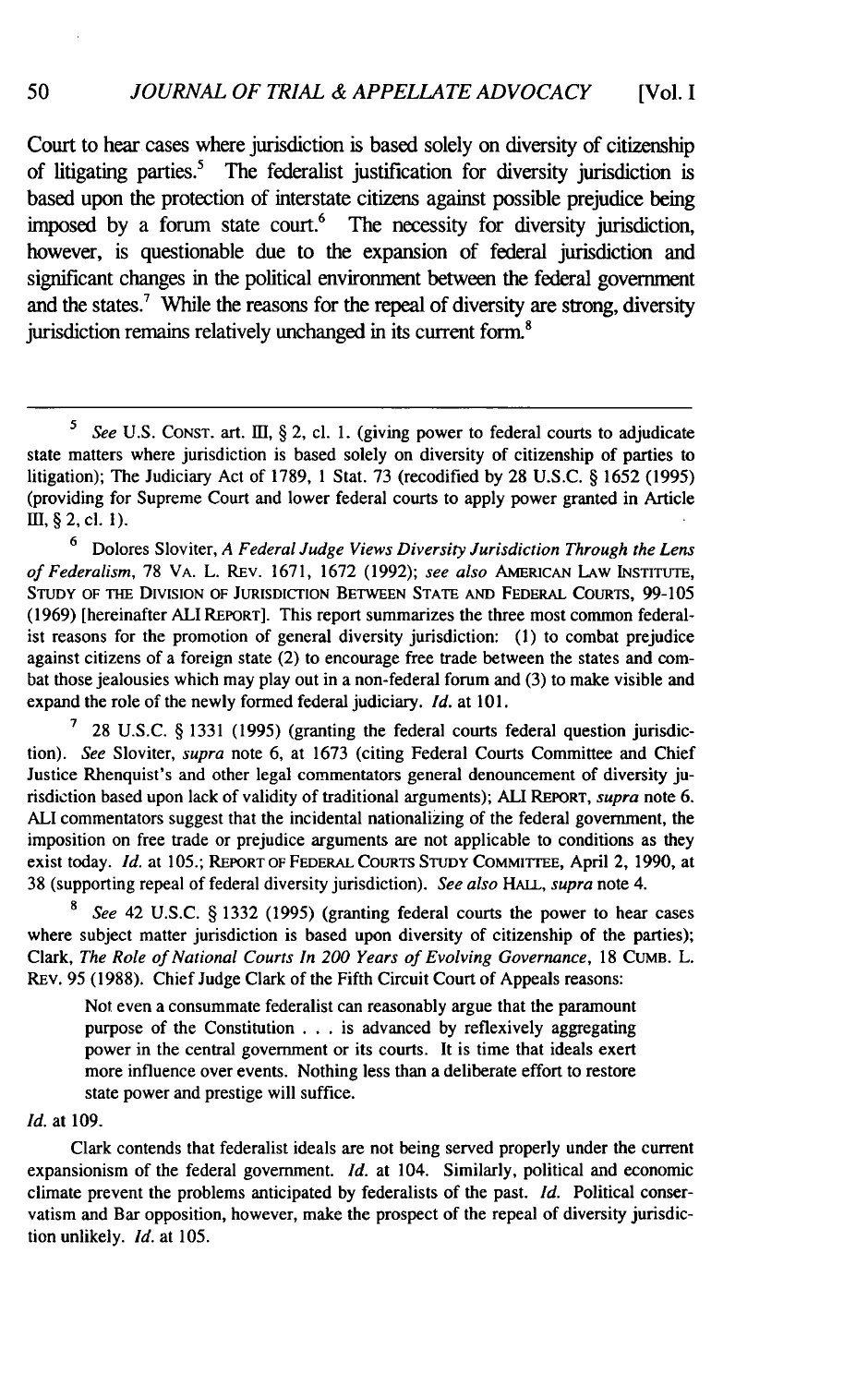Court to hear cases where jurisdiction is based solely on diversity of citizenship of litigating parties.<sup>5</sup> The federalist justification for diversity jurisdiction is based upon the protection of interstate citizens against possible prejudice being imposed by a forum state court.<sup>6</sup> The necessity for diversity jurisdiction, however, is questionable due to the expansion of federal jurisdiction and significant changes in the political environment between the federal government and the states.<sup>7</sup> While the reasons for the repeal of diversity are strong, diversity jurisdiction remains relatively unchanged in its current form.<sup>8</sup>

**<sup>6</sup>**Dolores Sloviter, *A Federal Judge Views Diversity Jurisdiction Through the Lens of Federalism,* 78 VA. L. REv. 1671, 1672 (1992); *see also* AMERICAN LAW **INSTITUTE, STUDY** OF THE DIVISION OF **JURISDICTION BETWEEN STATE AND** FEDERAL COURTS, 99-105 (1969) [hereinafter ALl REPORT]. This report summarizes the three most common federalist reasons for the promotion of general diversity jurisdiction: (1) to combat prejudice against citizens of a foreign state (2) to encourage free trade between the states and combat those jealousies which may play out in a non-federal forum and (3) to make visible and expand the role of the newly formed federal judiciary. *Id.* at 101.

**7** 28 U.S.C. § 1331 (1995) (granting the federal courts federal question jurisdiction). *See* Sloviter, *supra* note 6, at 1673 (citing Federal Courts Committee and Chief Justice Rhenquist's and other legal commentators general denouncement of diversity jurisdiction based upon lack of validity of traditional arguments); ALl REPORT, *supra* note 6. ALl commentators suggest that the incidental nationalizing of the federal government, the imposition on free trade or prejudice arguments are not applicable to conditions as they exist today. *Id.* at 105.; REPORT OF FEDERAL **COURTS STUDY** COMMITTEE, April 2, 1990, at 38 (supporting repeal of federal diversity jurisdiction). *See also HALL, supra* note 4.

**8** *See* 42 U.S.C. § 1332 (1995) (granting federal courts the power to hear cases where subject matter jurisdiction is based upon diversity of citizenship of the parties); Clark, *The Role of National Courts In 200 Years of Evolving Governance,* <sup>18</sup>**CUMB.** L. REv. 95 (1988). Chief Judge Clark of the Fifth Circuit Court of Appeals reasons:

Not even a consummate federalist can reasonably argue that the paramount purpose of the Constitution . . . is advanced by reflexively aggregating power in the central government or its courts. It is time that ideals exert more influence over events. Nothing less than a deliberate effort to restore state power and prestige will suffice.

#### *Id.* at **109.**

50

Clark contends that federalist ideals are not being served properly under the current expansionism of the federal government. *Id.* at 104. Similarly, political and economic climate prevent the problems anticipated by federalists of the past. *Id.* Political conservatism and Bar opposition, however, make the prospect of the repeal of diversity jurisdiction unlikely. *Id.* at 105.

*See U.S. CONST. art. III, § 2, cl. 1. (giving power to federal courts to adjudicate* state matters where jurisdiction is based solely on diversity of citizenship of parties to litigation); The Judiciary Act of 1789, 1 Stat. 73 (recodified by 28 U.S.C. § 1652 (1995) (providing for Supreme Court and lower federal courts to apply power granted in Article II, **§** 2, cl. I).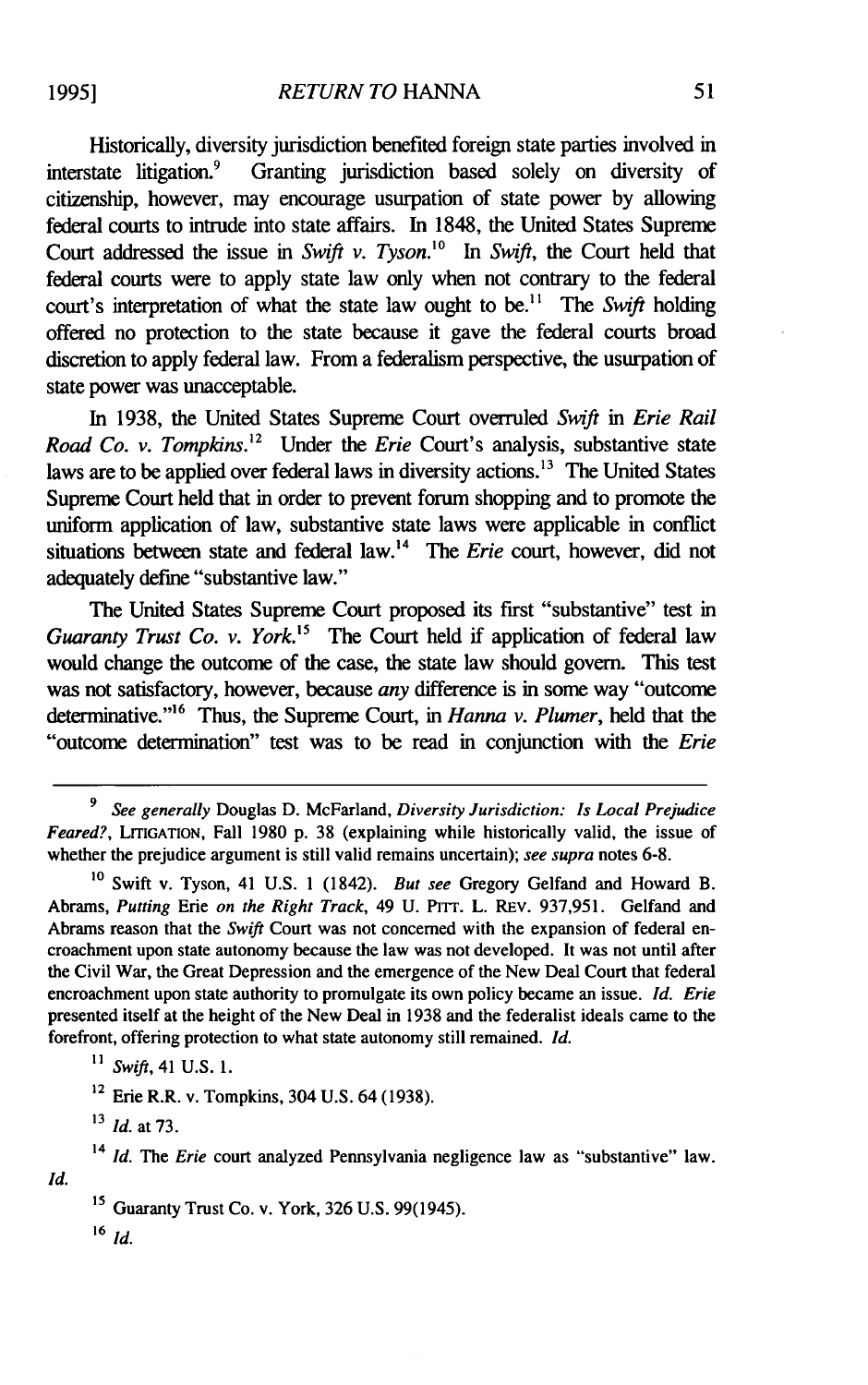Historically, diversity jurisdiction benefited foreign state parties involved in interstate litigation.<sup>9</sup> Granting jurisdiction based solely on diversity of citizenship, however, may encourage usurpation of state power by allowing federal courts to intrude into state affairs. In 1848, the United States Supreme Court addressed the issue in *Swift v. Tyson*.<sup>10</sup> In *Swift*, the Court held that federal courts were to apply state law only when not contrary to the federal court's interpretation of what the state law ought to be.<sup>11</sup> The *Swift* holding offered no protection to the state because it gave the federal courts broad discretion to apply federal law. From a federalism perspective, the usurpation of state power was unacceptable.

In 1938, the United States Supreme Court overruled *Swift* in *Erie Rail Road Co. v. Tompkins.*<sup>12</sup> Under the *Erie* Court's analysis, substantive state laws are to be applied over federal laws in diversity actions.<sup>13</sup> The United States Supreme Court held that in order to prevent forum shopping and to promote the uniform application of law, substantive state laws were applicable in conflict situations between state and federal law.<sup>14</sup> The *Erie* court, however, did not adequately define "substantive law."

The United States Supreme Court proposed its first "substantive" test in *Guaranty Trust Co. v. York.*<sup>15</sup> The Court held if application of federal law would change the outcome of the case, the state law should govern. This test was not satisfactory, however, because *any* difference is in some way "outcome determinative."<sup>16</sup> Thus, the Supreme Court, in *Hanna v. Plumer*, held that the "outcome determination" test was to be read in conjunction with the *Erie*

<sup>16</sup>*Id.*

*Id.*

**<sup>9</sup>***See generally* Douglas D. McFarland, *Diversity Jurisdiction: Is Local Prejudice Feared?,* **LIIGATION,** Fall 1980 p. 38 (explaining while historically valid, the issue of whether the prejudice argument is still valid remains uncertain); *see supra* notes 6-8.

**<sup>10</sup>**Swift v. Tyson, 41 U.S. 1 (1842). *But see* Gregory Gelfand and Howard B. Abrams, *Putting* Erie *on the Right Track,* 49 U. PITr. L. REv. 937,951. Gelfand and Abrams reason that the *Swift* Court was not concerned with the expansion of federal encroachment upon state autonomy because the law was not developed. It was not until after the Civil War, the Great Depression and the emergence of the New Deal Court that federal encroachment upon state authority to promulgate its own policy became an issue. *Id. Erie* presented itself at the height of the New Deal in 1938 and the federalist ideals came to the forefront, offering protection to what state autonomy still remained. *Id.*

**<sup>&</sup>quot;1** *Swift,* 41 U.S. 1.

<sup>12</sup> Erie R.R. v. Tompkins, 304 U.S. 64 (1938).

**<sup>13</sup>** *Id.* at 73.

<sup>14</sup>*Id. The Erie* court analyzed Pennsylvania negligence law as "substantive" law.

**<sup>15</sup>**Guaranty Trust Co. v. York, 326 U.S. 99(1945).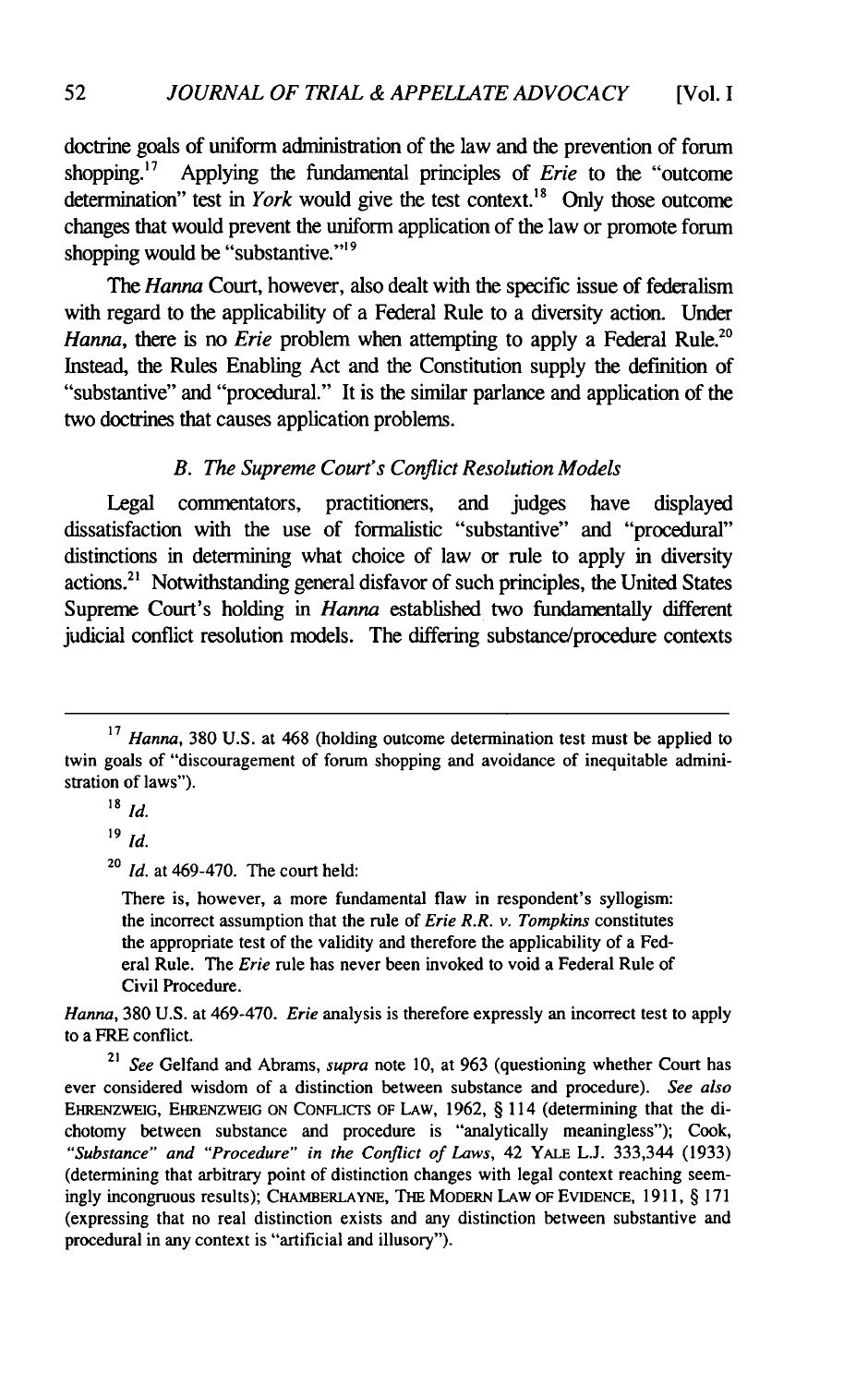doctrine goals of uniform administration of the law and the prevention of forum shopping.<sup>17</sup> Applying the fundamental principles of *Erie* to the "outcome" determination" test in *York* would give the test context."8 Only those outcome changes that would prevent the uniform application of the law or promote forum shopping would be "substantive."<sup>19</sup>

The *Hanna* Court, however, also dealt with the specific issue of federalism with regard to the applicability of a Federal Rule to a diversity action. Under *Hanna*, there is no *Erie* problem when attempting to apply a Federal Rule.<sup>20</sup> Instead, the Rules Enabling Act and the Constitution supply the definition of "substantive" and "procedural." It is the similar parlance and application of the two doctrines that causes application problems.

#### *B. The Supreme Court's Conflict Resolution Models*

Legal commentators, practitioners, and judges have displayed dissatisfaction with the use of formalistic "substantive" and "procedural" distinctions in determining what choice of law or rule to apply in diversity actions.<sup>21</sup> Notwithstanding general disfavor of such principles, the United States Supreme Court's holding in *Hanna* established two fundamentally different judicial conflict resolution models. The differing substance/procedure contexts

**<sup>20</sup>***Id.* at 469-470. The court held:

There is, however, a more fundamental flaw in respondent's syllogism: the incorrect assumption that the rule of *Erie R.R. v. Tompkins* constitutes the appropriate test of the validity and therefore the applicability of a Federal Rule. The *Erie* rule has never been invoked to void a Federal Rule of Civil Procedure.

*Hanna,* **380 U.S.** at 469-470. *Erie* analysis is therefore expressly an incorrect test to apply to a FRE conflict.

**<sup>21</sup>***See* Gelfand and Abrams, *supra* note **10,** at **963** (questioning whether Court has ever considered wisdom of a distinction between substance and procedure). *See also* **EHRENZWEIG,** EHRENZWEIG **ON** CoNFLicrs OF LAW, **1962,** § 114 (determining that the dichotomy between substance and procedure is "analytically meaningless"); **Cook,** *"Substance" and "Procedure" in the Conflict of Laws,* 42 YALE **L.J.** 333,344 **(1933)** (determining that arbitrary point of distinction changes with legal context reaching seemingly incongruous results); **CHAMBERLAYNE,** THE MODERN LAw OF EVIDENCE, **1911,** § **171** (expressing that no real distinction exists and any distinction between substantive and procedural in any context is "artificial and illusory").

**<sup>17</sup>***Hanna,* 380 U.S. at 468 (holding outcome determination test must be applied to twin goals of "discouragement of forum shopping and avoidance of inequitable administration of laws").

**<sup>18</sup>***Id.*

**<sup>19</sup> Id.**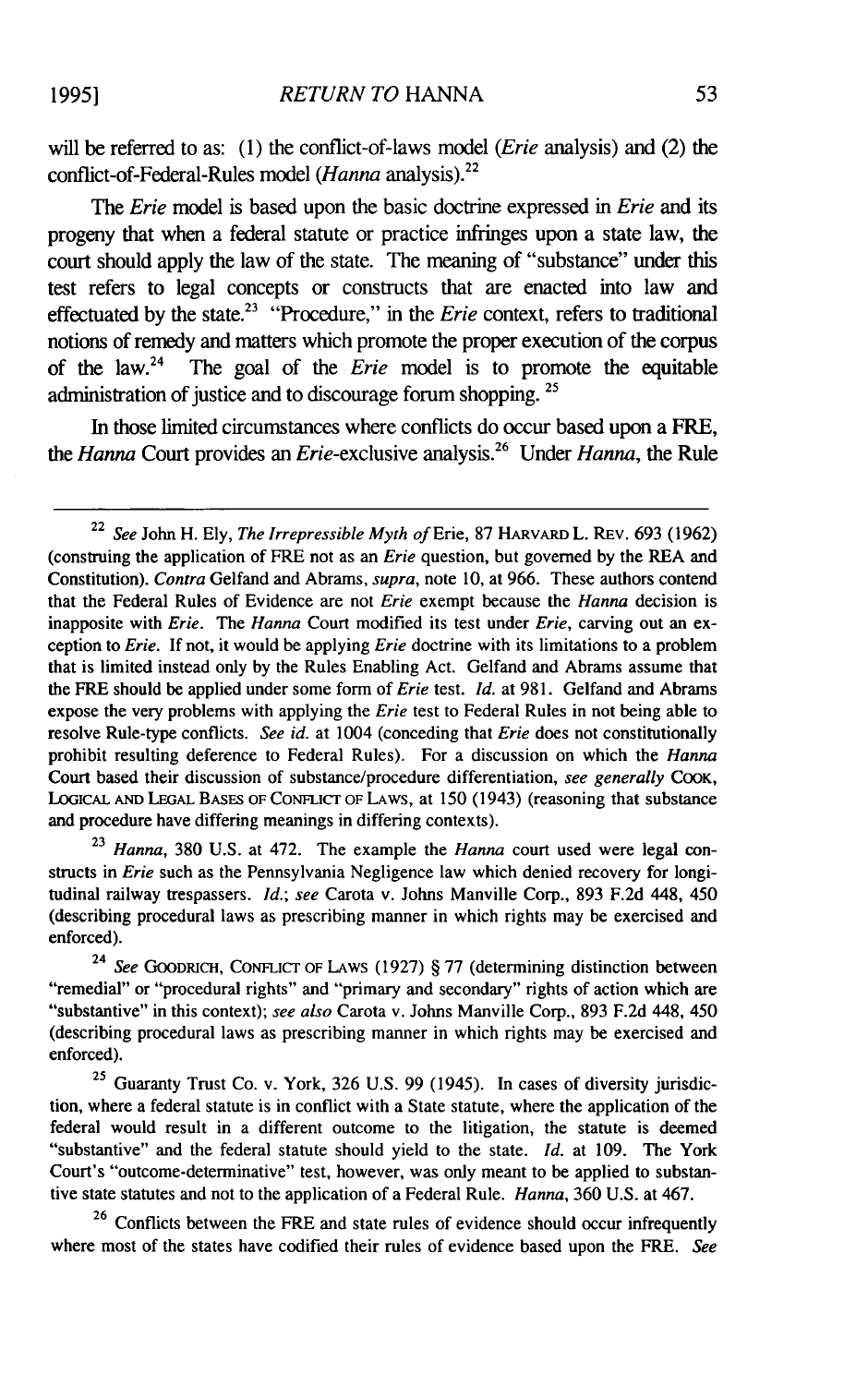will be referred to as: (1) the conflict-of-laws model *(Erie* analysis) and (2) the conflict-of-Federal-Rules model *(Hanna* analysis). <sup>2</sup>

The *Erie* model is based upon the basic doctrine expressed in *Erie* and its progeny that when a federal statute or practice infringes upon a state law, the court should apply the law of the state. The meaning of "substance" under this test refers to legal concepts or constructs that are enacted into law and effectuated by the state.<sup>23</sup> "Procedure," in the *Erie* context, refers to traditional notions of remedy and matters which promote the proper execution of the corpus of the law.24 The goal of the *Erie* model is to promote the equitable administration of justice and to discourage forum shopping. <sup>25</sup>

In those limited circumstances where conflicts do occur based upon a FRE, *the Hanna* Court provides an Erie-exclusive analysis.26 Under *Hanna,* the Rule

23 *Hanna,* 380 U.S. at 472. The example the *Hanna* court used were legal constructs in *Erie* such as the Pennsylvania Negligence law which denied recovery for longitudinal railway trespassers. *Id.; see* Carota v. Johns Manville Corp., 893 F.2d 448, 450 (describing procedural laws as prescribing manner in which rights may be exercised and enforced).

24 *See* GOODRICH, CONFLICT OF LAWS (1927) § 77 (determining distinction between "remedial" or "procedural rights" and "primary and secondary" rights of action which are "substantive" in this context); *see also* Carota v. Johns Manville Corp., 893 F.2d 448, 450 (describing procedural laws as prescribing manner in which rights may be exercised and enforced).

<sup>25</sup> Guaranty Trust Co. v. York, 326 U.S. 99 (1945). In cases of diversity jurisdiction, where a federal statute is in conflict with a State statute, where the application of the federal would result in a different outcome to the litigation, the statute is deemed "substantive" and the federal statute should yield to the state. *Id.* at 109. The York Court's "outcome-determinative" test, however, was only meant to be applied to substantive state statutes and not to the application of a Federal Rule. *Hanna,* 360 U.S. at 467.

<sup>26</sup> Conflicts between the FRE and state rules of evidence should occur infrequently where most of the states have codified their rules of evidence based upon the FRE. *See*

<sup>22</sup>*See* John H. Ely, *The Irrepressible Myth of* Erie, 87 HARVARD L. REV. 693 (1962) (construing the application of FRE not as an Erie question, but governed by the REA and Constitution). *Contra* Gelfand and Abrams, *supra,* note 10, at 966. These authors contend that the Federal Rules of Evidence are not *Erie* exempt because the *Hanna* decision is inapposite with *Erie.* The *Hanna* Court modified its test under *Erie,* carving out an exception to *Erie.* If not, it would be applying *Erie* doctrine with its limitations to a problem that is limited instead only by the Rules Enabling Act. Gelfand and Abrams assume that the FRE should be applied under some form of *Erie* test. *Id.* at 981. Gelfand and Abrams expose the very problems with applying the *Erie* test to Federal Rules in not being able to resolve Rule-type conflicts. *See id.* at 1004 (conceding that *Erie* does not constitutionally prohibit resulting deference to Federal Rules). For a discussion on which the *Hanna* Court based their discussion of substance/procedure differentiation, *see generally* COOK, LOGICAL **AND** LEGAL **BASES OF** CONFLICT OF **LAWS,** at 150 (1943) (reasoning that substance and procedure have differing meanings in differing contexts).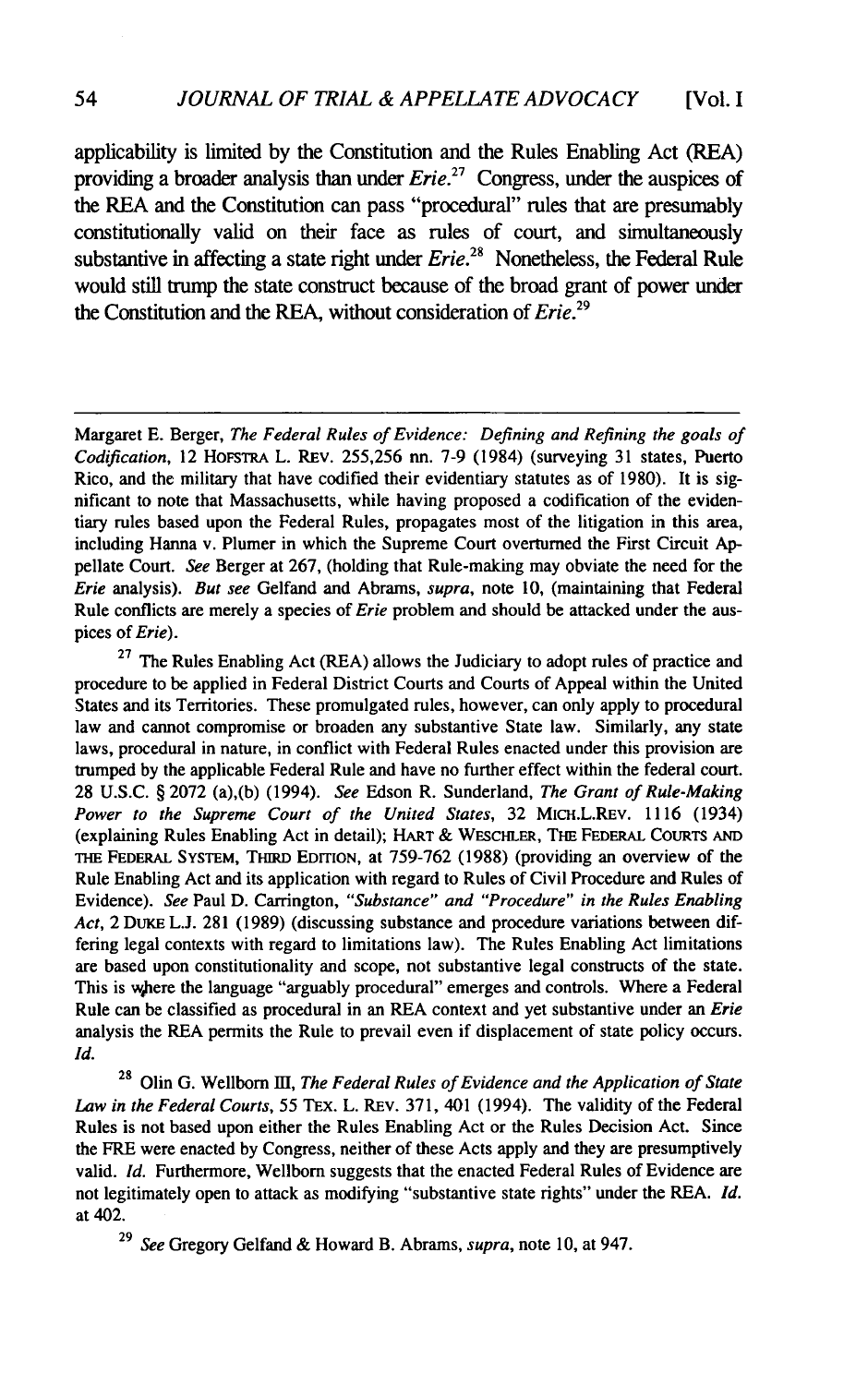applicability is limited by the Constitution and the Rules Enabling Act (REA) providing a broader analysis than under *Erie*.<sup>27</sup> Congress, under the auspices of the REA and the Constitution can pass "procedural" rules that are presumably constitutionally valid on their face as rules of court, and simultaneously substantive in affecting a state right under *Erie.<sup>2</sup> '* Nonetheless, the Federal Rule would still trump the state construct because of the broad grant of power under the Constitution and the REA, without consideration of *Erie.<sup>29</sup>*

 $27$  The Rules Enabling Act (REA) allows the Judiciary to adopt rules of practice and procedure to be applied in Federal District Courts and Courts of Appeal within the United States and its Territories. These promulgated rules, however, can only apply to procedural law and cannot compromise or broaden any substantive State law. Similarly, any state laws, procedural in nature, in conflict with Federal Rules enacted under this provision are trumped by the applicable Federal Rule and have no further effect within the federal court. 28 U.S.C. § 2072 (a),(b) (1994). *See* Edson R. Sunderland, *The Grant of Rule-Making Power to the Supreme Court of the United States,* 32 MicH.L.REv. 1116 (1934) (explaining Rules Enabling Act in detail); HART & WEsCHLER, THE FEDERAL CouRTs AND THE FEDERAL SYSTEM, TriRD EDITION, at 759-762 (1988) (providing an overview of the Rule Enabling Act and its application with regard to Rules of Civil Procedure and Rules of Evidence). *See* Paul D. Carrington, *"Substance" and "Procedure" in the Rules Enabling Act,* 2 DuKE **L.J.** 281 (1989) (discussing substance and procedure variations between differing legal contexts with regard to limitations law). The Rules Enabling Act limitations are based upon constitutionality and scope, not substantive legal constructs of the state. This is where the language "arguably procedural" emerges and controls. Where a Federal Rule can be classified as procedural in an REA context and yet substantive under an *Erie* analysis the REA permits the Rule to prevail even if displacement of state policy occurs. *Id.*

**<sup>28</sup>**Olin G. Wellborn III, *The Federal Rules of Evidence and the Application of State* Law in the Federal Courts, 55 TEX. L. REV. 371, 401 (1994). The validity of the Federal Rules is not based upon either the Rules Enabling Act or the Rules Decision Act. Since the FRE were enacted by Congress, neither of these Acts apply and they are presumptively valid. *Id.* Furthermore, Wellborn suggests that the enacted Federal Rules of Evidence are not legitimately open to attack as modifying "substantive state rights" under the REA. *Id.* at 402.

29 *See* Gregory Gelfand & Howard B. Abrams, *supra,* note 10, at 947.

Margaret E. Berger, *The Federal Rules of Evidence: Defining and Refining the goals of Codification,* 12 HoFSTRA L. REv. 255,256 nn. 7-9 (1984) (surveying 31 states, Puerto Rico, and the military that have codified their evidentiary statutes as of 1980). It is significant to note that Massachusetts, while having proposed a codification of the evidentiary rules based upon the Federal Rules, propagates most of the litigation in this area, including Hanna v. Plumer in which the Supreme Court overturned the First Circuit Appellate Court. *See* Berger at 267, (holding that Rule-making may obviate the need for the *Erie* analysis). *But see* Gelfand and Abrams, *supra,* note **10,** (maintaining that Federal Rule conflicts are merely a species of *Erie* problem and should be attacked under the auspices of *Erie).*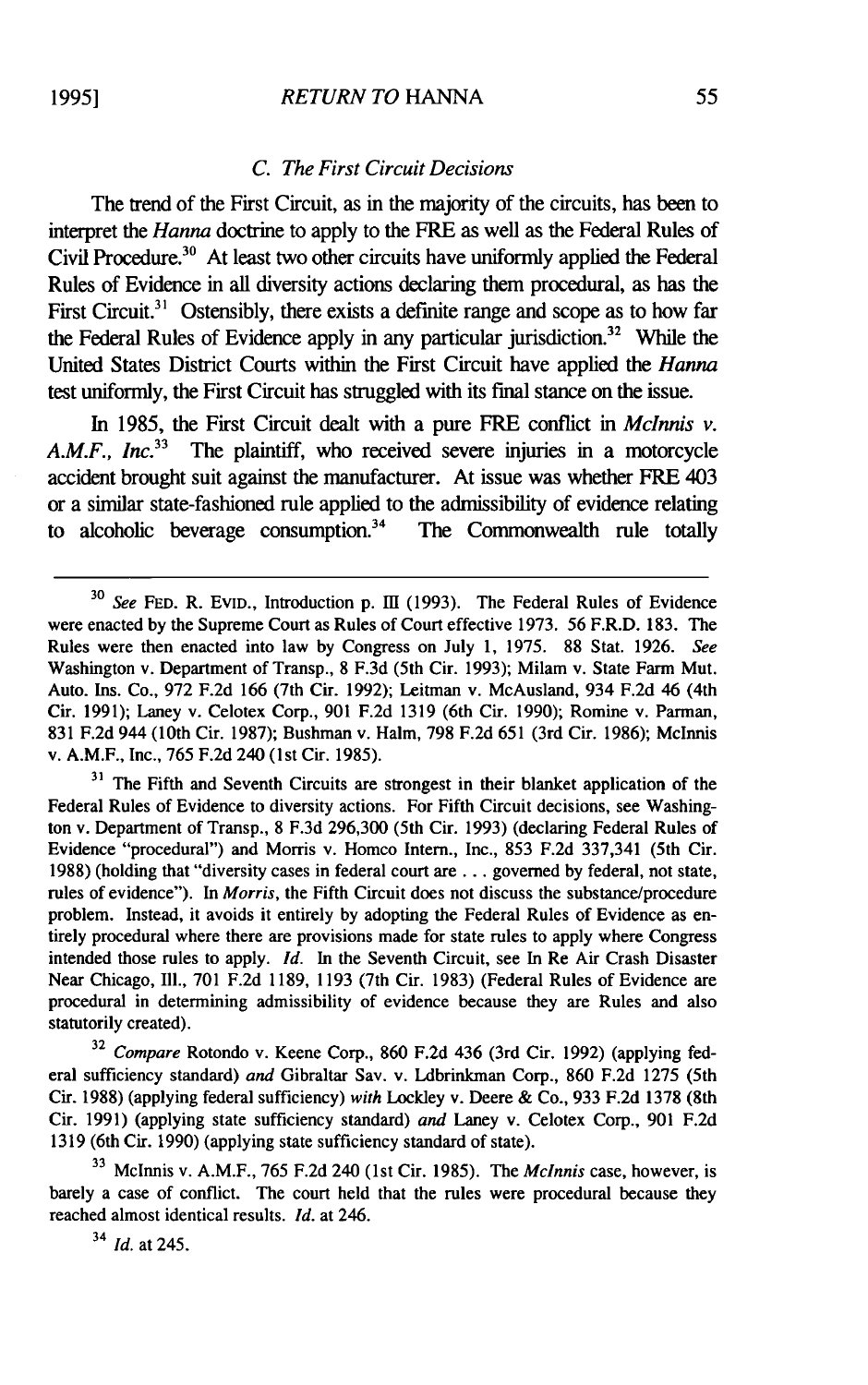#### *C. The First Circuit Decisions*

The trend of the First Circuit, as in the majority of the circuits, has been to interpret the *Hanna* doctrine to apply to the FRE as well as the Federal Rules of Civil Procedure.<sup>30</sup> At least two other circuits have uniformly applied the Federal Rules of Evidence in all diversity actions declaring them procedural, as has the First Circuit.<sup>31</sup> Ostensibly, there exists a definite range and scope as to how far the Federal Rules of Evidence apply in any particular jurisdiction.<sup>32</sup> While the United States District Courts within the First Circuit have applied the *Hanna* test uniformly, the First Circuit has struggled with its final stance on the issue.

In 1985, the First Circuit dealt with a pure FRE conflict in *Mclnnis v. A.M.F., InC.<sup>33</sup>*The plaintiff, who received severe injuries in a motorcycle accident brought suit against the manufacturer. At issue was whether FRE 403 or a similar state-fashioned rule applied to the admissibility of evidence relating to alcoholic beverage consumption.<sup>34</sup> The Commonwealth rule totally to alcoholic beverage consumption. $34$ 

<sup>31</sup> The Fifth and Seventh Circuits are strongest in their blanket application of the Federal Rules of Evidence to diversity actions. For Fifth Circuit decisions, see Washington v. Department of Transp., 8 F.3d 296,300 (5th Cir. 1993) (declaring Federal Rules of Evidence "procedural") and Morris v. Homco Intern., Inc., 853 F.2d 337,341 (5th Cir. 1988) (holding that "diversity cases in federal court are... governed by federal, not state, rules of evidence"). In *Morris,* the Fifth Circuit does not discuss the substance/procedure problem. Instead, it avoids it entirely by adopting the Federal Rules of Evidence as entirely procedural where there are provisions made for state rules to apply where Congress intended those rules to apply. *Id.* In the Seventh Circuit, see In Re Air Crash Disaster Near Chicago, Ill., 701 F.2d 1189, 1193 (7th Cir. 1983) (Federal Rules of Evidence are procedural in determining admissibility of evidence because they are Rules and also statutorily created).

32 *Compare* Rotondo v. Keene Corp., 860 F.2d 436 (3rd Cir. 1992) (applying federal sufficiency standard) *and* Gibraltar Sav. v. Ldbrinkman Corp., 860 F.2d 1275 (5th Cir. 1988) (applying federal sufficiency) *with* Lockley v. Deere & Co., 933 F.2d 1378 (8th Cir. 1991) (applying state sufficiency standard) *and* Laney v. Celotex Corp., 901 F.2d 1319 (6th Cir. 1990) (applying state sufficiency standard of state).

**<sup>33</sup>**McInnis v. A.M.F., 765 F.2d 240 (1st Cir. 1985). The *McInnis* case, however, is barely a case of conflict. The court held that the rules were procedural because they reached almost identical results. *Id.* at 246.

*34 Id.* at 245.

<sup>&</sup>lt;sup>30</sup> See FED. R. EVID., Introduction p. III (1993). The Federal Rules of Evidence were enacted by the Supreme Court as Rules of Court effective 1973. 56 F.R.D. 183. The Rules were then enacted into law by Congress on July 1, 1975. 88 Stat. 1926. *See* Washington v. Department of Transp., 8 F.3d (5th Cir. 1993); Milam v. State Farm Mut. Auto. Ins. Co., 972 F.2d 166 (7th Cir. 1992); Leitman v. McAusland, 934 F.2d 46 (4th Cir. 1991); Laney v. Celotex Corp., 901 F.2d 1319 (6th Cir. 1990); Romine v. Parman, 831 F.2d 944 (10th Cir. 1987); Bushman v. Halm, 798 F.2d 651 (3rd Cir. 1986); Mclnnis v. A.M.F., Inc., 765 F.2d 240 (1st Cir. 1985).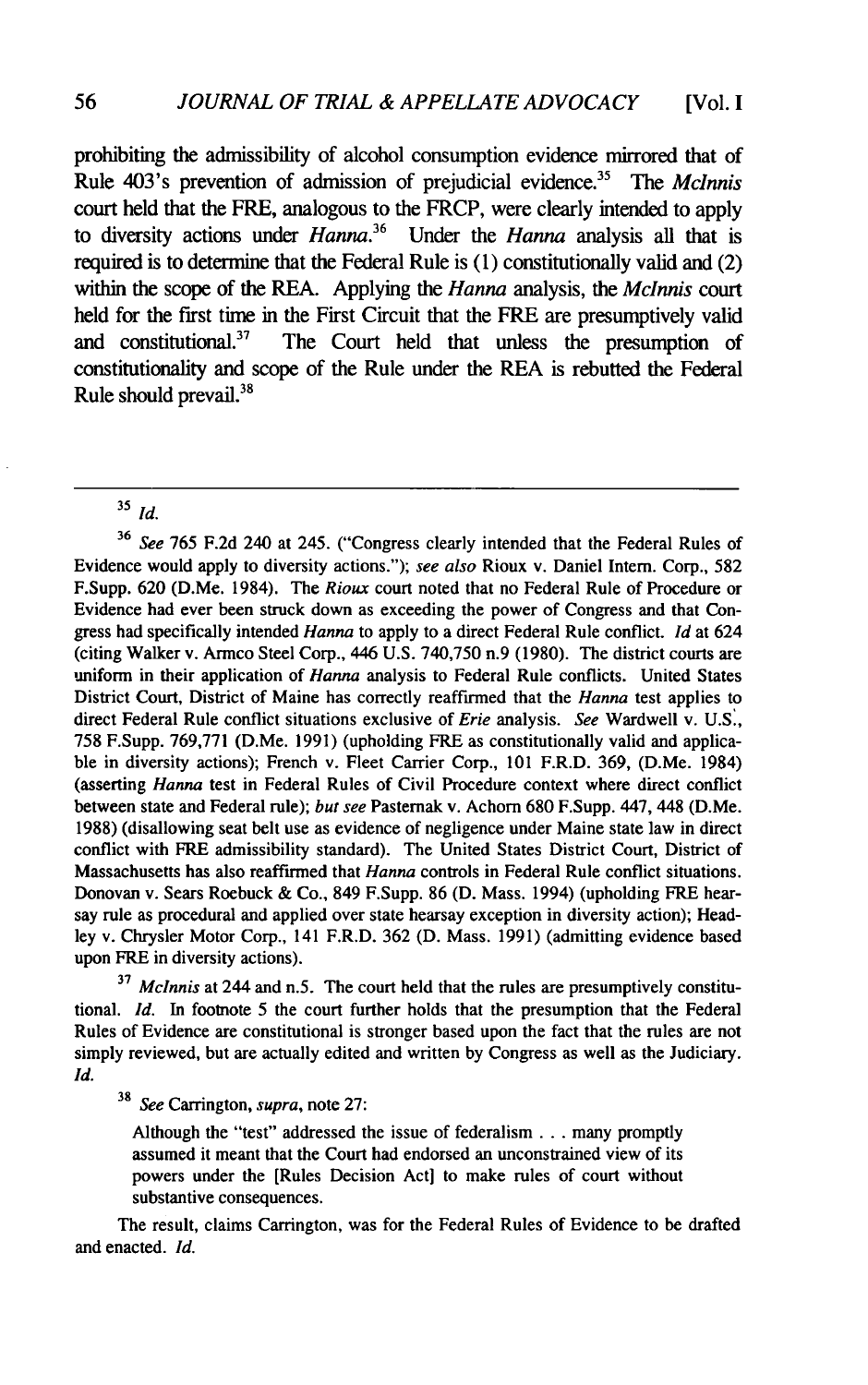prohibiting the admissibility of alcohol consumption evidence mirrored that of Rule 403's prevention of admission of prejudicial evidence.35 *The Mclnnis* court held that the FRE, analogous to the FRCP, were clearly intended to apply to diversity actions under *Hanna.<sup>36</sup>*Under the *Hanna* analysis all that is required is to determine that the Federal Rule is (1) constitutionally valid and (2) within the scope of the REA. Applying the *Hanna* analysis, the *Mclnnis* court held for the first time in the First Circuit that the FRE are presumptively valid<br>and constitutional.<sup>37</sup> The Court held that unless the presumption of The Court held that unless the presumption of constitutionality and scope of the Rule under the REA is rebutted the Federal Rule should prevail. $38$ 

**<sup>35</sup>***Id.*

<sup>36</sup>*See* 765 F.2d 240 at 245. ("Congress clearly intended that the Federal Rules of Evidence would apply to diversity actions."); *see also* Rioux v. Daniel Intern. Corp., 582 F.Supp. 620 (D.Me. 1984). The *Rioux* court noted that no Federal Rule of Procedure or Evidence had ever been struck down as exceeding the power of Congress and that Congress had specifically intended *Hanna* to apply to a direct Federal Rule conflict. *Id* at 624 (citing Walker v. Armco Steel Corp., 446 U.S. 740,750 n.9 (1980). The district courts are uniform in their application of *Hanna* analysis to Federal Rule conflicts. United States District Court, District of Maine has correctly reaffirmed that the *Hanna* test applies to direct Federal Rule conflict situations exclusive of *Erie* analysis. *See* Wardwell v. U.S., 758 F.Supp. 769,771 (D.Me. 1991) (upholding FRE as constitutionally valid and applicable in diversity actions); French v. Fleet Carrier Corp., 101 F.R.D. 369, (D.Me. 1984) (asserting *Hanna* test in Federal Rules of Civil Procedure context where direct conflict between state and Federal rule); *but see* Pasternak v. Achorn 680 F.Supp. 447, 448 (D.Me. 1988) (disallowing seat belt use as evidence of negligence under Maine state law in direct conflict with FRE admissibility standard). The United States District Court, District of Massachusetts has also reaffirmed that *Hanna* controls in Federal Rule conflict situations. Donovan v. Sears Roebuck & Co., 849 F.Supp. 86 (D. Mass. 1994) (upholding FRE hearsay rule as procedural and applied over state hearsay exception in diversity action); Headley v. Chrysler Motor Corp., 141 F.R.D. 362 (D. Mass. 1991) (admitting evidence based upon FRE in diversity actions).

**37** *Mclnnis* at 244 and n.5. The court held that the rules are presumptively constitutional. *Id.* In footnote 5 the court further holds that the presumption that the Federal Rules of Evidence are constitutional is stronger based upon the fact that the rules are not simply reviewed, but are actually edited and written by Congress as well as the Judiciary. *Id.*

<sup>38</sup>*See* Carrington, *supra,* note 27:

Although the "test" addressed the issue of federalism **...** many promptly assumed it meant that the Court had endorsed an unconstrained view of its powers under the [Rules Decision Act] to make rules of court without substantive consequences.

The result, claims Carrington, was for the Federal Rules of Evidence to be drafted and enacted. *Id.*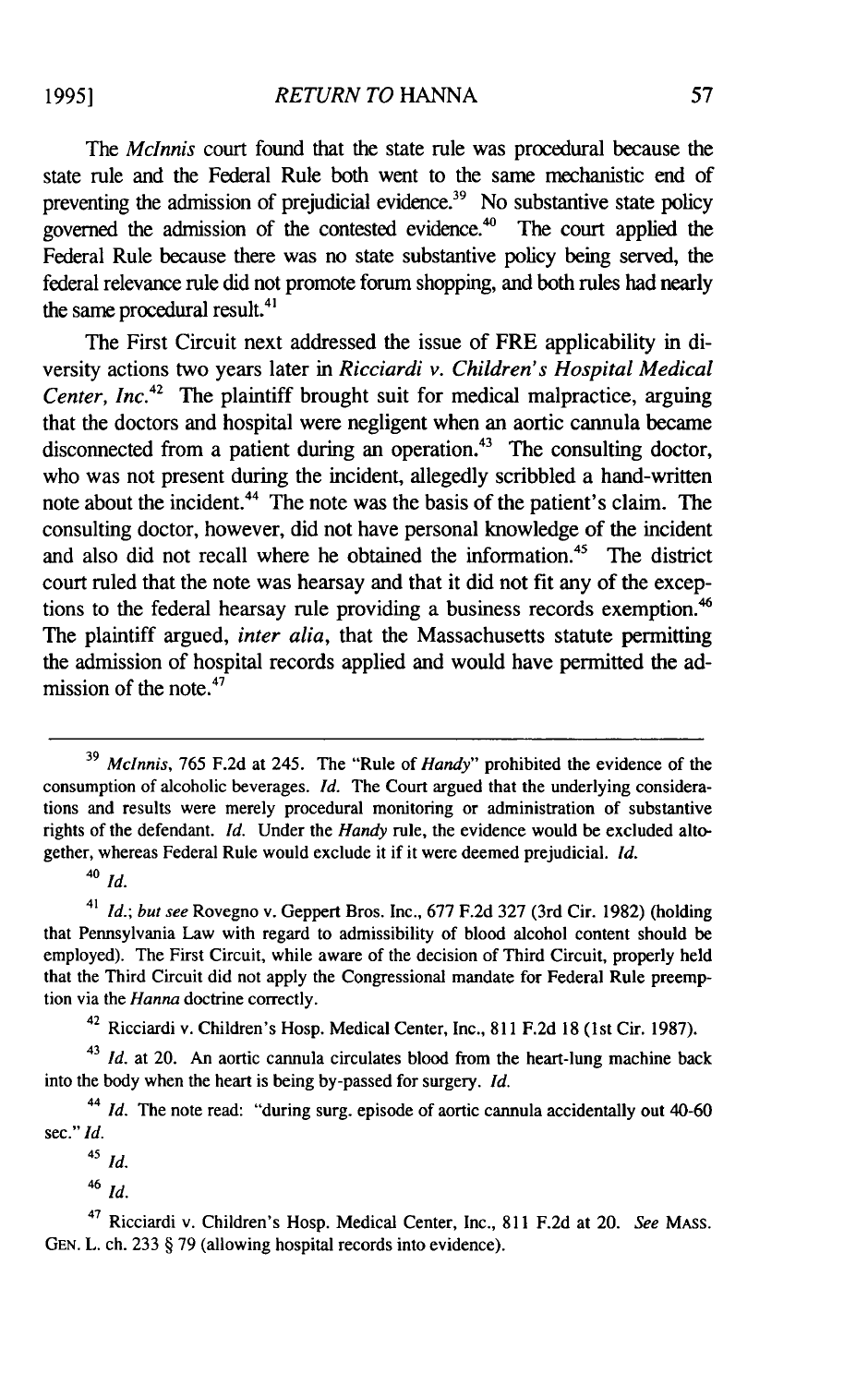The *Mclnnis* court found that the state rule was procedural because the state rule and the Federal Rule both went to the same mechanistic end of preventing the admission of prejudicial evidence.<sup>39</sup> No substantive state policy governed the admission of the contested evidence.<sup>40</sup> The court applied the Federal Rule because there was no state substantive policy being served, the federal relevance rule did not promote forum shopping, and both rules had nearly the same procedural result. $41$ 

The First Circuit next addressed the issue of FRE applicability in diversity actions two years later in *Ricciardi v. Children's Hospital Medical* Center, Inc.<sup>42</sup> The plaintiff brought suit for medical malpractice, arguing that the doctors and hospital were negligent when an aortic cannula became disconnected from a patient during an operation.<sup>43</sup> The consulting doctor, who was not present during the incident, allegedly scribbled a hand-written note about the incident.<sup>44</sup> The note was the basis of the patient's claim. The consulting doctor, however, did not have personal knowledge of the incident and also did not recall where he obtained the information.<sup>45</sup> The district court ruled that the note was hearsay and that it did not fit any of the exceptions to the federal hearsay rule providing a business records exemption.<sup>46</sup> The plaintiff argued, *inter alia,* that the Massachusetts statute permitting the admission of hospital records applied and would have permitted the admission of the note. $47$ 

**<sup>39</sup>***Mclnnis,* 765 F.2d at 245. The "Rule of *Handy"* prohibited the evidence of the consumption of alcoholic beverages. *Id.* The Court argued that the underlying considerations and results were merely procedural monitoring or administration of substantive rights of the defendant. *Id.* Under the *Handy* rule, the evidence would be excluded altogether, whereas Federal Rule would exclude it if it were deemed prejudicial. *Id.*

<sup>40</sup>*Id.*

<sup>41</sup>*Id.; but see* Rovegno v. Geppert Bros. Inc., 677 F.2d 327 (3rd Cir. 1982) (holding that Pennsylvania Law with regard to admissibility of blood alcohol content should be employed). The First Circuit, while aware of the decision of Third Circuit, properly held that the Third Circuit did not apply the Congressional mandate for Federal Rule preemption via the *Hanna* doctrine correctly.

<sup>42</sup> Ricciardi v. Children's Hosp. Medical Center, Inc., 811 F.2d 18 (1st Cir. 1987).

<sup>43</sup>*Id.* at 20. An aortic cannula circulates blood from the heart-lung machine back into the body when the heart is being by-passed for surgery. *Id.*

*<sup>44</sup>Id.* The note read: "during surg. episode of aortic cannula accidentally out 40-60 sec." *Id.*

<sup>45</sup>*Id.*

<sup>46</sup>*Id.*

<sup>47</sup>Ricciardi v. Children's Hosp. Medical Center, Inc., 811 F.2d at 20. *See* MASS. GEN. L. ch. 233 § 79 (allowing hospital records into evidence).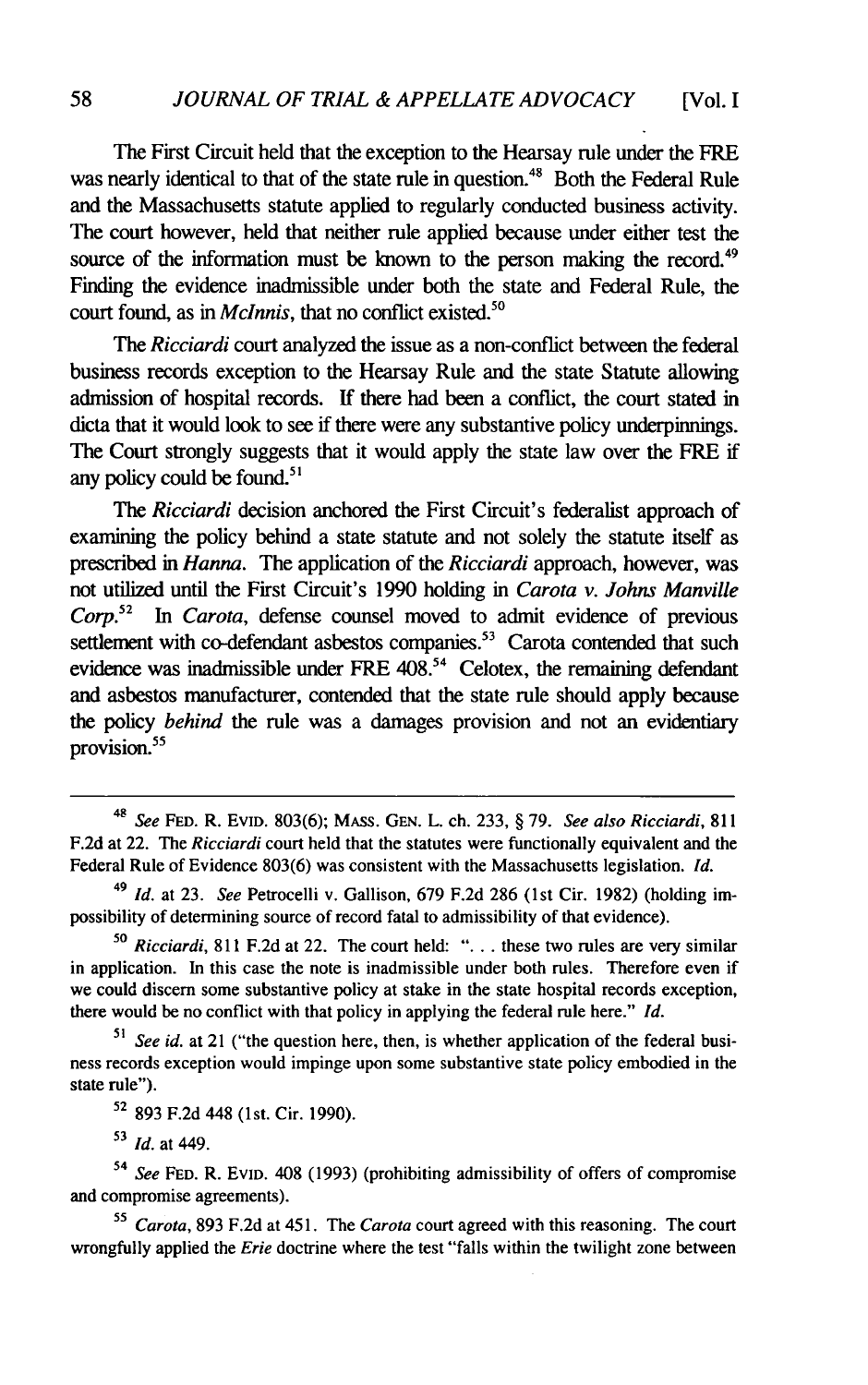The First Circuit held that the exception to the Hearsay rule under the FRE was nearly identical to that of the state rule in question.<sup>48</sup> Both the Federal Rule and the Massachusetts statute applied to regularly conducted business activity. The court however, held that neither rule applied because under either test the source of the information must be known to the person making the record.<sup>49</sup> Finding the evidence inadmissible under both the state and Federal Rule, the court found, as in *McInnis*, that no conflict existed.<sup>50</sup>

*The Ricciardi* court analyzed the issue as a non-conflict between the federal business records exception to the Hearsay Rule and the state Statute allowing admission of hospital records. If there had been a conflict, the court stated in dicta that it would look to see if there were any substantive policy underpinnings. The Court strongly suggests that it would apply the state law over the FRE if any policy could be found.<sup>51</sup>

*The Ricciardi* decision anchored the First Circuit's federalist approach of examining the policy behind a state statute and not solely the statute itself as prescribed in *Hanna.* The application of the *Ricciardi* approach, however, was not utilized until the First Circuit's 1990 holding in *Carota v. Johns Manville Corp.<sup>52</sup>In Carota,* defense counsel moved to admit evidence of previous settlement with co-defendant asbestos companies.<sup>53</sup> Carota contended that such evidence was inadmissible under FRE  $408<sup>54</sup>$  Celotex, the remaining defendant and asbestos manufacturer, contended that the state rule should apply because the policy *behind* the rule was a damages provision and not an evidentiary provision.<sup>55</sup>

**<sup>53</sup>***Id.* at 449.

<sup>48</sup>*See* FED. R. EVID. 803(6); MASS. GEN. L. ch. 233, § **79.** *See also Ricciardi,* **811** F.2d at 22. The *Ricciardi* court held that the statutes were functionally equivalent and the Federal Rule of Evidence 803(6) was consistent with the Massachusetts legislation. *Id.*

<sup>49</sup> *Id.* at 23. *See* Petrocelli v. Gallison, **679** F.2d 286 (lst Cir. **1982)** (holding impossibility of determining source of record fatal to admissibility of that evidence).

**<sup>50</sup>***Ricciardi,* **811** F.2d at 22. The court held: **"....** these two rules are very similar in application. In this case the note is inadmissible under both rules. Therefore even if we could discern some substantive policy at stake in the state hospital records exception, there would be no conflict with that policy in applying the federal rule here." *Id.*

See id. at 21 ("the question here, then, is whether application of the federal business records exception would impinge upon some substantive state policy embodied in the state rule").

**<sup>52</sup>**893 F.2d 448 (1st. Cir. 1990).

<sup>54</sup>*See* FED. R. EVID. 408 (1993) (prohibiting admissibility of offers of compromise and compromise agreements).

**<sup>5</sup>***Carota,* 893 F.2d at 451. The *Carota* court agreed with this reasoning. The court wrongfully applied the *Erie* doctrine where the test "falls within the twilight zone between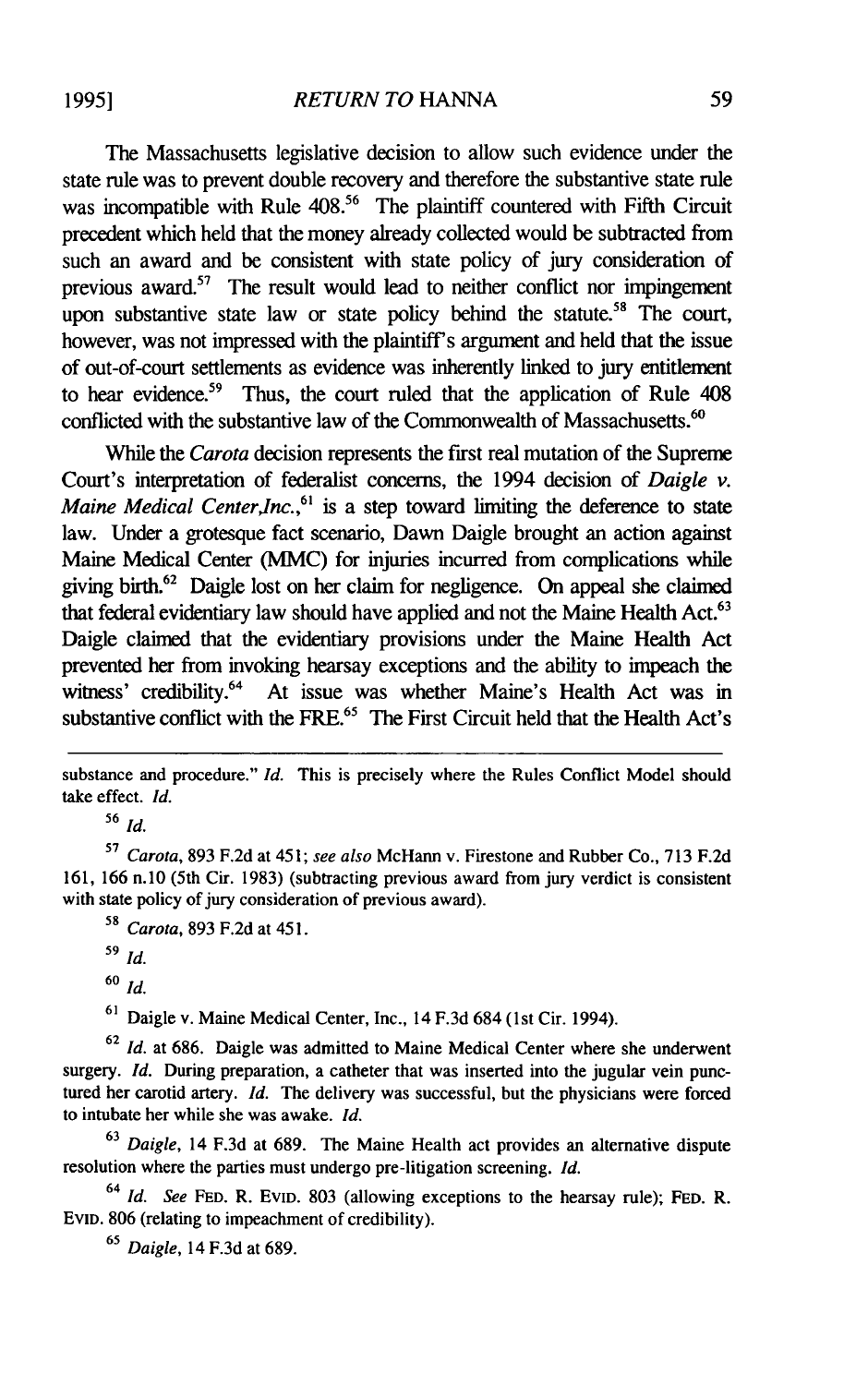**19951**

The Massachusetts legislative decision to allow such evidence under the state rule was to prevent double recovery and therefore the substantive state rule was incompatible with Rule 408.<sup>56</sup> The plaintiff countered with Fifth Circuit precedent which held that the money already collected would be subtracted from such an award and be consistent with state policy of jury consideration of previous award.57 The result would lead to neither conflict nor impingement upon substantive state law or state policy behind the statute.<sup>58</sup> The court, however, was not impressed with the plaintiff's argument and held that the issue of out-of-court settlements as evidence was inherently linked to jury entitlement to hear evidence.<sup>59</sup> Thus, the court ruled that the application of Rule 408 conflicted with the substantive law of the Commonwealth of Massachusetts.<sup>60</sup>

While the *Carota* decision represents the first real mutation of the Supreme Court's interpretation of federalist concerns, the 1994 decision of *Daigle v. Maine Medical Center, Inc.*,<sup>61</sup> is a step toward limiting the deference to state law. Under a grotesque fact scenario, Dawn Daigle brought an action against Maine Medical Center (MMC) for injuries incurred from complications while giving birth.<sup>6</sup>2 Daigle lost on her claim for negligence. On appeal she claimed that federal evidentiary law should have applied and not the Maine Health Act.<sup>63</sup> Daigle claimed that the evidentiary provisions under the Maine Health Act prevented her from invoking hearsay exceptions and the ability to impeach the witness' credibility.<sup>64</sup> At issue was whether Maine's Health Act was in substantive conflict with the FRE.<sup>65</sup> The First Circuit held that the Health Act's

substance and procedure." *Id.* This is precisely where the Rules Conflict Model should take effect. *Id.*

**<sup>56</sup>***Id.*

**<sup>57</sup>***Carota,* 893 F.2d at 451; *see also* McHann v. Firestone and Rubber Co., 713 F.2d 161, 166 n.10 (5th Cir. 1983) (subtracting previous award from jury verdict is consistent with state policy of jury consideration of previous award).

**<sup>58</sup>***Carota,* 893 F.2d at 451.

**<sup>60</sup>***Id.*

**<sup>61</sup>**Daigle v. Maine Medical Center, Inc., 14 F.3d 684 (1st Cir. 1994).

**<sup>62</sup>***Id.* at 686. Daigle was admitted to Maine Medical Center where she underwent surgery. *Id.* During preparation, a catheter that was inserted into the jugular vein punctured her carotid artery. *Id.* The delivery was successful, but the physicians were forced to intubate her while she was awake. *Id.*

**<sup>63</sup>***Daigle,* 14 F.3d at 689. The Maine Health act provides an alternative dispute resolution where the parties must undergo pre-litigation screening. *Id.*

<sup>64</sup>*Id. See* **FED.** R. **EvID.** 803 (allowing exceptions to the hearsay rule); **FED.** R. EVID. 806 (relating to impeachment of credibility).

**<sup>65</sup>***Daigle,* 14 F.3d at 689.

**<sup>59</sup>***Id.*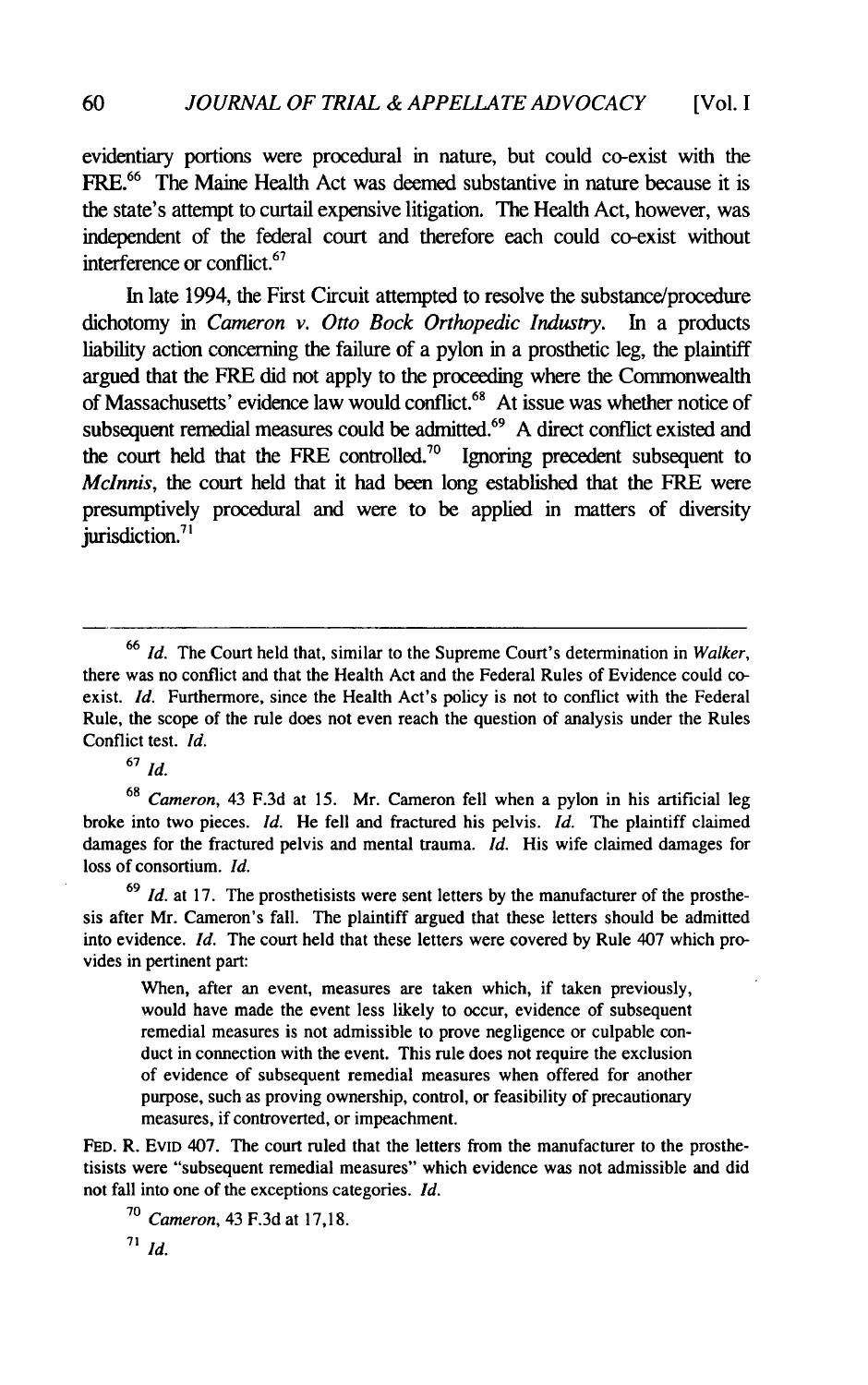evidentiary portions were procedural in nature, but could co-exist with the FRE.<sup>66</sup> The Maine Health Act was deemed substantive in nature because it is the state's attempt to curtail expensive litigation. The Health Act, however, was independent of the federal court and therefore each could co-exist without interference or conflict.<sup>6</sup><sup>7</sup>

In late 1994, the First Circuit attempted to resolve the substance/procedure dichotomy in *Cameron v. Otto Bock Orthopedic Industry.* In a products liability action concerning the failure of a pylon in a prosthetic leg, the plaintiff argued that the FRE did not apply to the proceeding where the Commonwealth of Massachusetts' evidence law would conflict.<sup>68</sup> At issue was whether notice of subsequent remedial measures could be admitted.<sup>69</sup> A direct conflict existed and the court held that the FRE controlled.<sup>70</sup> Ignoring precedent subsequent to *McInnis*, the court held that it had been long established that the FRE were presumptively procedural and were to be applied in matters of diversity jurisdiction.<sup>71</sup>

**<sup>67</sup>***Id.*

**<sup>68</sup>***Cameron,* 43 F.3d at 15. Mr. Cameron fell when a pylon in his artificial leg broke into two pieces. *Id.* He fell and fractured his pelvis. *Id.* The plaintiff claimed damages for the fractured pelvis and mental trauma. *Id.* His wife claimed damages for loss of consortium. *Id.*

**69** *Id.* at 17. The prosthetisists were sent letters by the manufacturer of the prosthesis after Mr. Cameron's fall. The plaintiff argued that these letters should be admitted into evidence. *Id.* The court held that these letters were covered by Rule 407 which provides in pertinent part:

When, after an event, measures are taken which, if taken previously, would have made the event less likely to occur, evidence of subsequent remedial measures is not admissible to prove negligence or culpable conduct in connection with the event. This rule does not require the exclusion of evidence of subsequent remedial measures when offered for another purpose, such as proving ownership, control, or feasibility of precautionary measures, if controverted, or impeachment.

**FED.** R. EvID 407. The court ruled that the letters from the manufacturer to the prosthetisists were "subsequent remedial measures" which evidence was not admissible and did not fall into one of the exceptions categories. *Id.*

**<sup>70</sup>***Cameron,* 43 F.3d at 17,18.

*<sup>71</sup>Id.*

**<sup>66</sup>***Id.* The Court held that, similar to the Supreme Court's determination in *Walker,* there was no conflict and that the Health Act and the Federal Rules of Evidence could coexist. *Id.* Furthermore, since the Health Act's policy is not to conflict with the Federal Rule, the scope of the rule does not even reach the question of analysis under the Rules Conflict test. *Id.*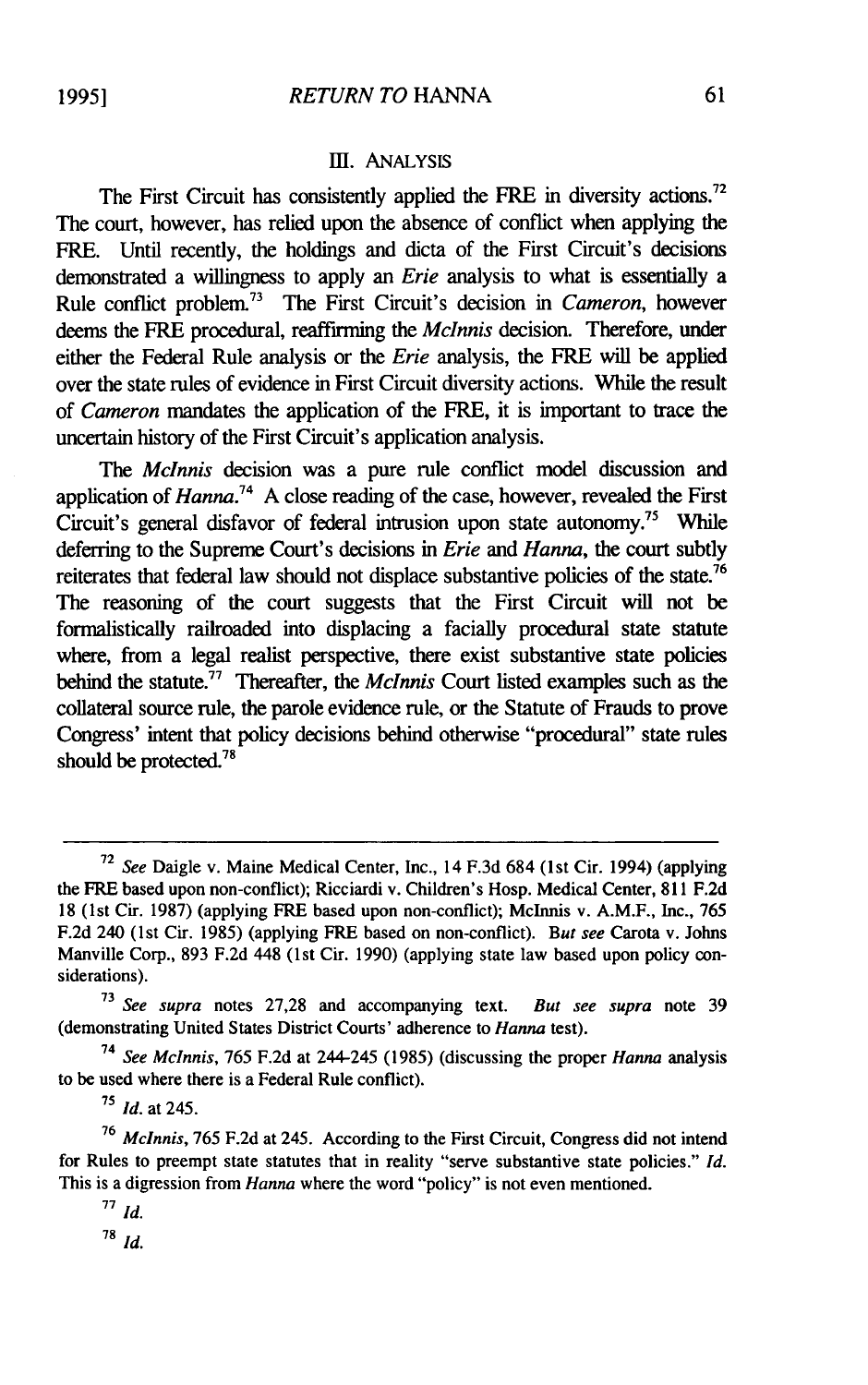#### **1I.** ANALYSIS

The First Circuit has consistently applied the FRE in diversity actions.<sup>72</sup> The court, however, has relied upon the absence of conflict when applying the FRE. Until recently, the holdings and dicta of the First Circuit's decisions demonstrated a willingness to apply an *Erie* analysis to what is essentially a Rule conflict problem.<sup>73</sup> The First Circuit's decision in *Cameron*, however deems the FRE procedural, reaffirming the *McInnis* decision. Therefore, under either the Federal Rule analysis or the *Erie* analysis, the FRE will be applied over the state rules of evidence in First Circuit diversity actions. While the result of *Cameron* mandates the application of the FRE, it is important to trace the uncertain history of the First Circuit's application analysis.

*The Mclnnis* decision was a pure rule conflict model discussion and application of *Hanna.<sup>74</sup>*A close reading of the case, however, revealed the First Circuit's general disfavor of federal intrusion upon state autonomy." While deferring to the Supreme Court's decisions in *Erie and Hanna,* the court subtly reiterates that federal law should not displace substantive policies of the state.<sup>76</sup> The reasoning of the court suggests that the First Circuit will not be formalistically railroaded into displacing a facially procedural state statute where, from a legal realist perspective, there exist substantive state policies behind the statute.77 Thereafter, the *Mclnnis* Court listed examples such as the collateral source rule, the parole evidence rule, or the Statute of Frauds to prove Congress' intent that policy decisions behind otherwise "procedural" state rules should be protected.<sup>78</sup>

<sup>72</sup>*See* Daigle v. Maine Medical Center, Inc., 14 F.3d 684 (1st Cir. 1994) (applying the FRE based upon non-conflict); Ricciardi v. Children's Hosp. Medical Center, 811 F.2d 18 (1st Cir. 1987) (applying FRE based upon non-conflict); Mclnnis v. A.M.F., Inc., 765 F.2d 240 (1st Cir. 1985) (applying FRE based on non-conflict). *But see* Carota v. Johns Manville Corp., 893 F.2d 448 (1st Cir. 1990) (applying state law based upon policy considerations).

**<sup>73</sup>***See supra* notes 27,28 and accompanying text. *But see supra* note 39 (demonstrating United States District Courts' adherence to *Hanna* test).

*<sup>74</sup>See Mclnnis,* 765 F.2d at 244-245 (1985) (discussing the proper *Hanna* analysis to be used where there is a Federal Rule conflict).

*<sup>75</sup>Id.* at 245.

<sup>76</sup>*Mclnnis,* 765 F.2d at 245. According to the First Circuit, Congress did not intend for Rules to preempt state statutes that in reality "serve substantive state policies." *Id.* This is a digression from *Hanna* where the word "policy" is not even mentioned.

**<sup>77</sup>** *Id.*

**<sup>78</sup>***Id.*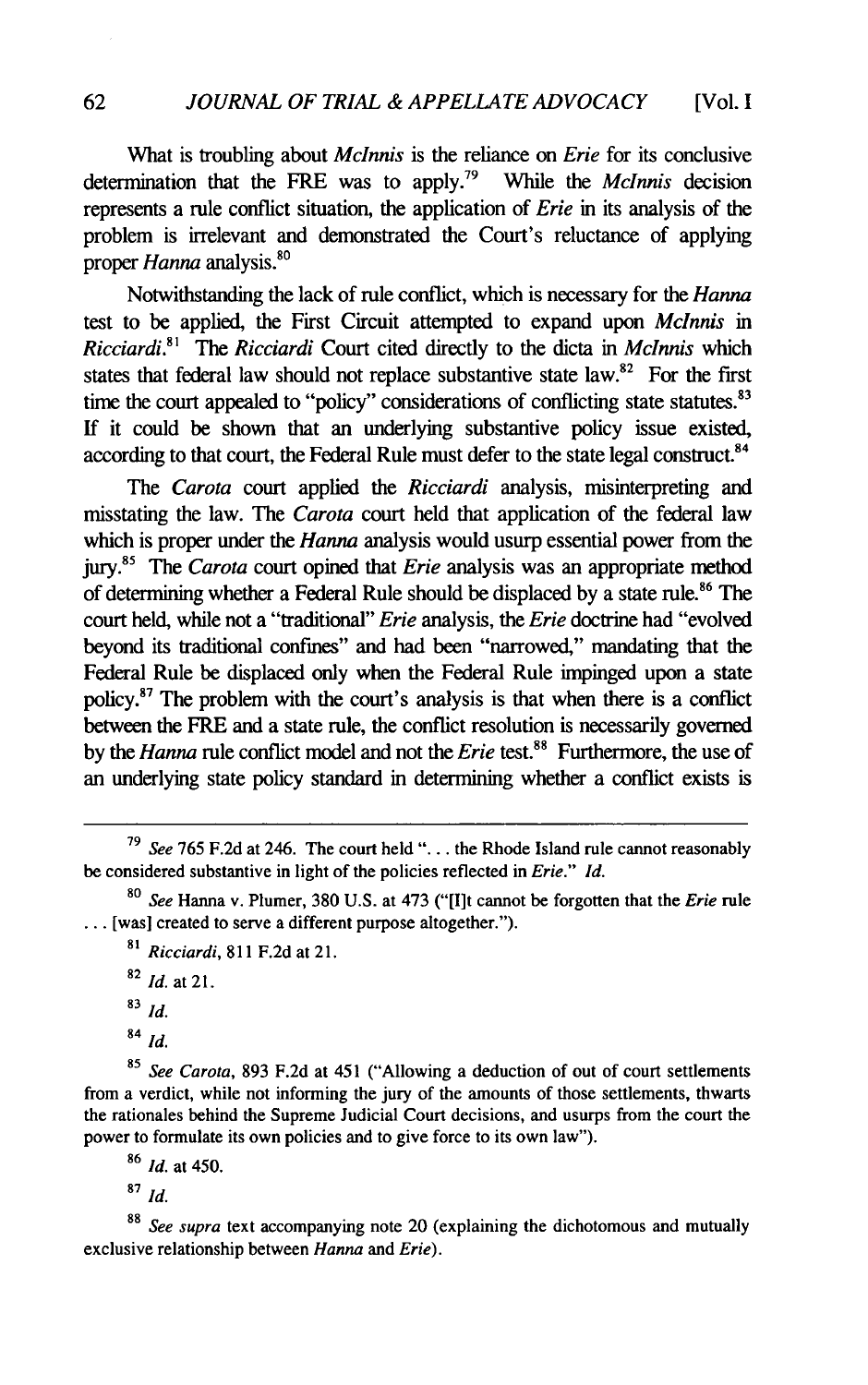What is troubling about *Mclnnis* is the reliance on *Erie* for its conclusive determination that the FRE was to apply.79 While the *Mclnnis* decision represents a rule conflict situation, the application of *Erie* in its analysis of the problem is irrelevant and demonstrated the Court's reluctance of applying proper *Hanna* analysis.<sup>80</sup>

Notwithstanding the lack of rule conflict, which is necessary for the *Hanna* test to be applied, the First Circuit attempted to expand upon *Mclnnis in Ricciardi.81 The Ricciardi* Court cited directly to the dicta in *Mclnnis* which states that federal law should not replace substantive state law. $82$  For the first time the court appealed to "policy" considerations of conflicting state statutes.<sup>83</sup> If it could be shown that an underlying substantive policy issue existed, according to that court, the Federal Rule must defer to the state legal construct.<sup>84</sup>

*The Carota* court applied the *Ricciardi* analysis, misinterpreting and misstating the law. The *Carota* court held that application of the federal law which is proper under the *Hanna* analysis would usurp essential power from the *jury.85* The *Carota* court opined that *Erie* analysis was an appropriate method of determining whether a Federal Rule should be displaced by a state rule.<sup>86</sup> The court held, while not a "traditional" *Erie* analysis, the *Erie* doctrine had "evolved beyond its traditional confines" and had been "narrowed," mandating that the Federal Rule be displaced only when the Federal Rule impinged upon a state policy.87 The problem with the court's analysis is that when there is a conflict between the FRE and a state rule, the conflict resolution is necessarily governed by the *Hanna* rule conflict model and not the *Erie* test.<sup>88</sup> Furthermore, the use of an underlying state policy standard in determining whether a conflict exists is

**<sup>82</sup>***Id.* at 21.

**<sup>83</sup>***Id.*

<sup>84</sup>*Id.*

**<sup>85</sup>***See Carota,* 893 F.2d at 451 ("Allowing a deduction of out of court settlements from a verdict, while not informing the jury of the amounts of those settlements, thwarts the rationales behind the Supreme Judicial Court decisions, and usurps from the court the power to formulate its own policies and to give force to its own law").

**<sup>86</sup>***Id.* at 450.

**<sup>87</sup>***Id.*

**<sup>88</sup>***See supra* text accompanying note 20 (explaining the dichotomous and mutually exclusive relationship between *Hanna and Erie).*

**<sup>79</sup>***See* 765 F.2d at 246. The court held **"...** . the Rhode Island rule cannot reasonably be considered substantive in light of the policies reflected in *Erie." Id.*

**<sup>80</sup>***See* Hanna v. Plumer, 380 U.S. at 473 ("[lIt cannot be forgotten that the *Erie* rule **...** [was] created to serve a different purpose altogether.").

*<sup>81</sup>Ricciardi,* 811 F.2d at 21.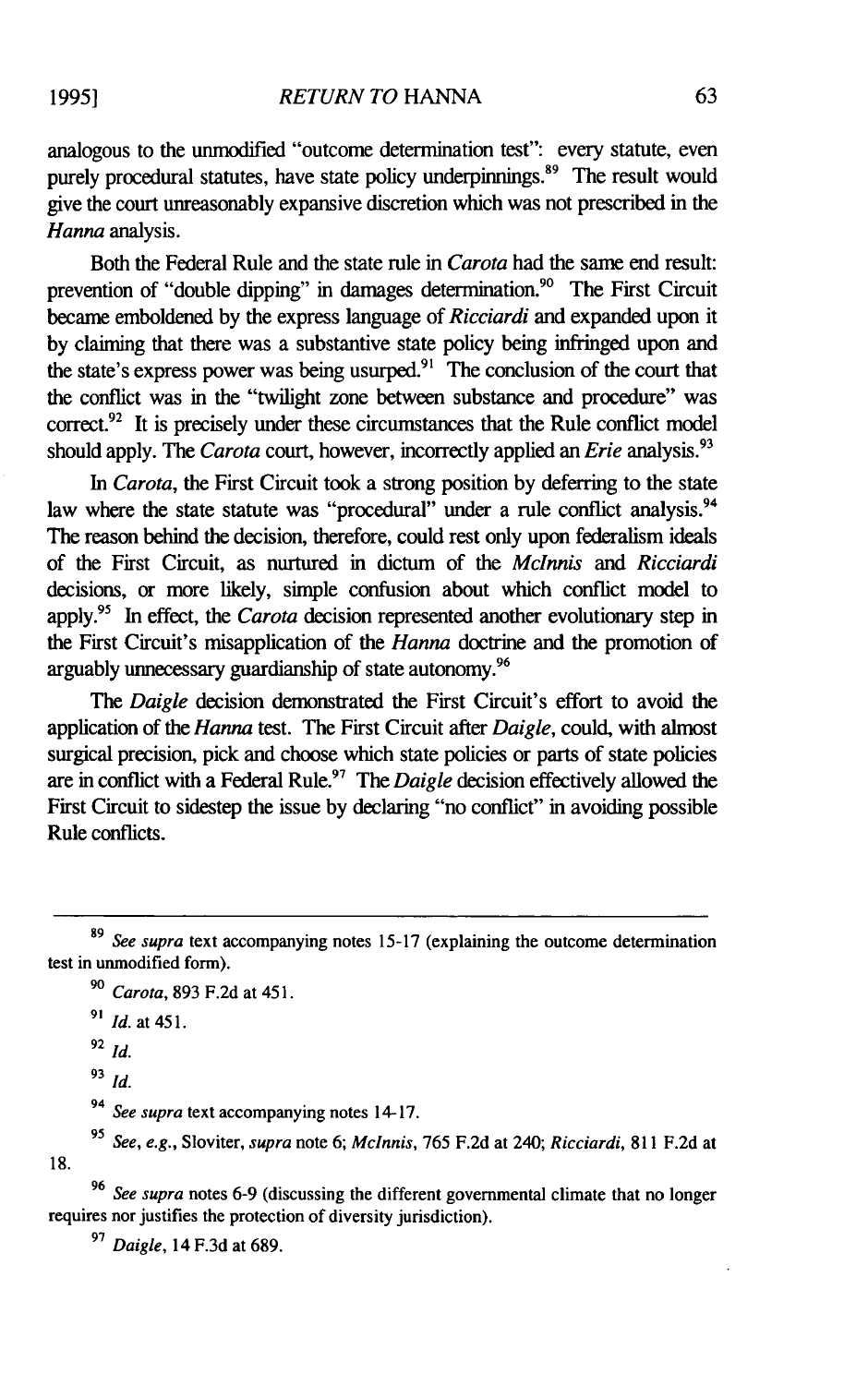analogous to the unmodified "outcome determination test": every statute, even purely procedural statutes, have state policy underpinnings. $89$  The result would give the court unreasonably expansive discretion which was not prescribed in the *Hanna* analysis.

Both the Federal Rule and the state rule in *Carota* had the same end result: prevention of "double dipping" in damages determination.<sup>90</sup> The First Circuit became emboldened by the express language of *Ricciardi* and expanded upon it by claiming that there was a substantive state policy being infringed upon and the state's express power was being usurped.<sup>91</sup> The conclusion of the court that the conflict was in the "twilight zone between substance and procedure" was correct.<sup>92</sup> It is precisely under these circumstances that the Rule conflict model should apply. The *Carota* court, however, incorrectly applied an *Erie* analysis."

*In Carota,* the First Circuit took a strong position by deferring to the state law where the state statute was "procedural" under a rule conflict analysis.<sup>94</sup> The reason behind the decision, therefore, could rest only upon federalism ideals of the First Circuit, as nurtured in dictum of the *Mclnnis and Ricciardi* decisions, or more likely, simple confusion about which conflict model to apply.95 In effect, the *Carota* decision represented another evolutionary step in the First Circuit's misapplication of the *Hanna* doctrine and the promotion of arguably unnecessary guardianship of state autonomy. <sup>96</sup>

The *Daigle* decision demonstrated the First Circuit's effort to avoid the application of the *Hanna* test. The First Circuit after *Daigle,* could, with almost surgical precision, pick and choose which state policies or parts of state policies are in conflict with a Federal Rule.97 The *Daigle* decision effectively allowed the First Circuit to sidestep the issue by declaring "no conflict" in avoiding possible Rule conflicts.

*<sup>91</sup>Id.* at 451.

*<sup>94</sup>See supra* text accompanying notes 14-17.

*<sup>95</sup>See, e.g.,* Sloviter, *supra* note 6; *Mclnnis,* 765 F.2d at 240; *Ricciardi,* 811 F.2d at

18.

**<sup>96</sup>***See supra* notes 6-9 (discussing the different governmental climate that no longer requires nor justifies the protection of diversity jurisdiction).

**<sup>97</sup>***Daigle,* 14 F.3d at 689.

**<sup>89</sup>**See supra text accompanying notes 15-17 (explaining the outcome determination test in unmodified form).

**<sup>90</sup>***Carota,* 893 F.2d at 45 **1.**

**<sup>92</sup>***Id.*

**<sup>93</sup>***Id.*